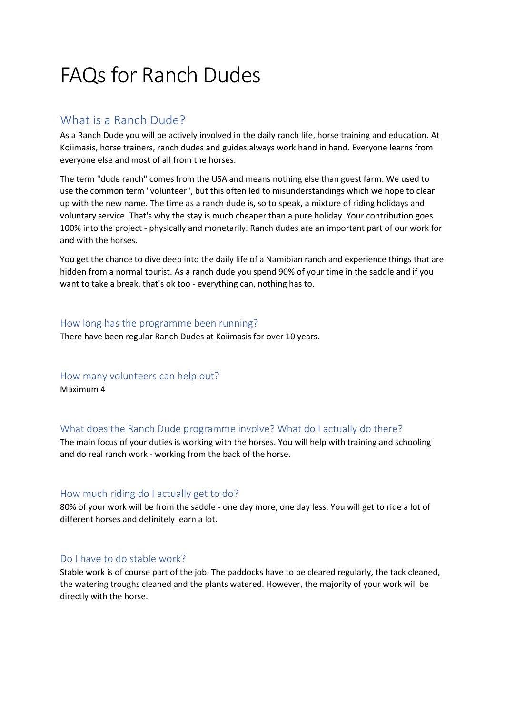# FAQs for Ranch Dudes

## What is a Ranch Dude?

As a Ranch Dude you will be actively involved in the daily ranch life, horse training and education. At Koiimasis, horse trainers, ranch dudes and guides always work hand in hand. Everyone learns from everyone else and most of all from the horses.

The term "dude ranch" comes from the USA and means nothing else than guest farm. We used to use the common term "volunteer", but this often led to misunderstandings which we hope to clear up with the new name. The time as a ranch dude is, so to speak, a mixture of riding holidays and voluntary service. That's why the stay is much cheaper than a pure holiday. Your contribution goes 100% into the project - physically and monetarily. Ranch dudes are an important part of our work for and with the horses.

You get the chance to dive deep into the daily life of a Namibian ranch and experience things that are hidden from a normal tourist. As a ranch dude you spend 90% of your time in the saddle and if you want to take a break, that's ok too - everything can, nothing has to.

#### How long has the programme been running?

There have been regular Ranch Dudes at Koiimasis for over 10 years.

#### How many volunteers can help out?

Maximum 4

#### What does the Ranch Dude programme involve? What do I actually do there?

The main focus of your duties is working with the horses. You will help with training and schooling and do real ranch work - working from the back of the horse.

#### How much riding do I actually get to do?

80% of your work will be from the saddle - one day more, one day less. You will get to ride a lot of different horses and definitely learn a lot.

#### Do I have to do stable work?

Stable work is of course part of the job. The paddocks have to be cleared regularly, the tack cleaned, the watering troughs cleaned and the plants watered. However, the majority of your work will be directly with the horse.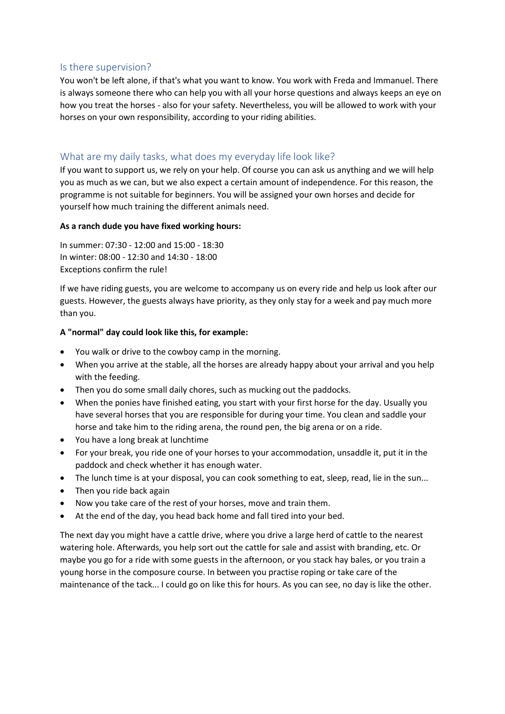#### Is there supervision?

You won't be left alone, if that's what you want to know. You work with Freda and Immanuel. There is always someone there who can help you with all your horse questions and always keeps an eye on how you treat the horses - also for your safety. Nevertheless, you will be allowed to work with your horses on your own responsibility, according to your riding abilities.

#### What are my daily tasks, what does my everyday life look like?

If you want to support us, we rely on your help. Of course you can ask us anything and we will help you as much as we can, but we also expect a certain amount of independence. For this reason, the programme is not suitable for beginners. You will be assigned your own horses and decide for yourself how much training the different animals need.

#### **As a ranch dude you have fixed working hours:**

In summer: 07:30 - 12:00 and 15:00 - 18:30 In winter: 08:00 - 12:30 and 14:30 - 18:00 Exceptions confirm the rule!

If we have riding guests, you are welcome to accompany us on every ride and help us look after our guests. However, the guests always have priority, as they only stay for a week and pay much more than you.

#### **A "normal" day could look like this, for example:**

- You walk or drive to the cowboy camp in the morning.
- When you arrive at the stable, all the horses are already happy about your arrival and you help with the feeding.
- Then you do some small daily chores, such as mucking out the paddocks.
- When the ponies have finished eating, you start with your first horse for the day. Usually you have several horses that you are responsible for during your time. You clean and saddle your horse and take him to the riding arena, the round pen, the big arena or on a ride.
- You have a long break at lunchtime
- For your break, you ride one of your horses to your accommodation, unsaddle it, put it in the paddock and check whether it has enough water.
- The lunch time is at your disposal, you can cook something to eat, sleep, read, lie in the sun...
- Then you ride back again
- Now you take care of the rest of your horses, move and train them.
- At the end of the day, you head back home and fall tired into your bed.

The next day you might have a cattle drive, where you drive a large herd of cattle to the nearest watering hole. Afterwards, you help sort out the cattle for sale and assist with branding, etc. Or maybe you go for a ride with some guests in the afternoon, or you stack hay bales, or you train a young horse in the composure course. In between you practise roping or take care of the maintenance of the tack... I could go on like this for hours. As you can see, no day is like the other.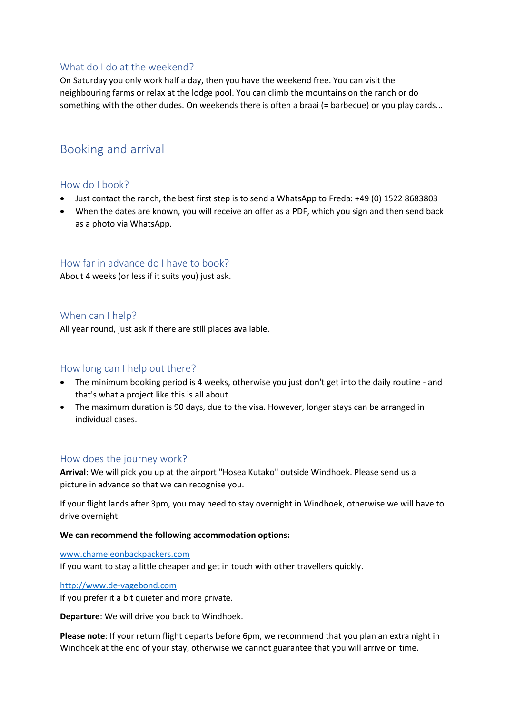#### What do I do at the weekend?

On Saturday you only work half a day, then you have the weekend free. You can visit the neighbouring farms or relax at the lodge pool. You can climb the mountains on the ranch or do something with the other dudes. On weekends there is often a braai (= barbecue) or you play cards...

## Booking and arrival

#### How do I book?

- Just contact the ranch, the best first step is to send a WhatsApp to Freda: +49 (0) 1522 8683803
- When the dates are known, you will receive an offer as a PDF, which you sign and then send back as a photo via WhatsApp.

#### How far in advance do I have to book?

About 4 weeks (or less if it suits you) just ask.

#### When can I help?

All year round, just ask if there are still places available.

#### How long can I help out there?

- The minimum booking period is 4 weeks, otherwise you just don't get into the daily routine and that's what a project like this is all about.
- The maximum duration is 90 days, due to the visa. However, longer stays can be arranged in individual cases.

#### How does the journey work?

**Arrival**: We will pick you up at the airport "Hosea Kutako" outside Windhoek. Please send us a picture in advance so that we can recognise you.

If your flight lands after 3pm, you may need to stay overnight in Windhoek, otherwise we will have to drive overnight.

#### **We can recommend the following accommodation options:**

#### [www.chameleonbackpackers.com](http://www.chameleonbackpackers.com/)

If you want to stay a little cheaper and get in touch with other travellers quickly.

#### [http://www.de-vagebond.com](http://www.de-vagebond.com/)

If you prefer it a bit quieter and more private.

**Departure**: We will drive you back to Windhoek.

**Please note**: If your return flight departs before 6pm, we recommend that you plan an extra night in Windhoek at the end of your stay, otherwise we cannot guarantee that you will arrive on time.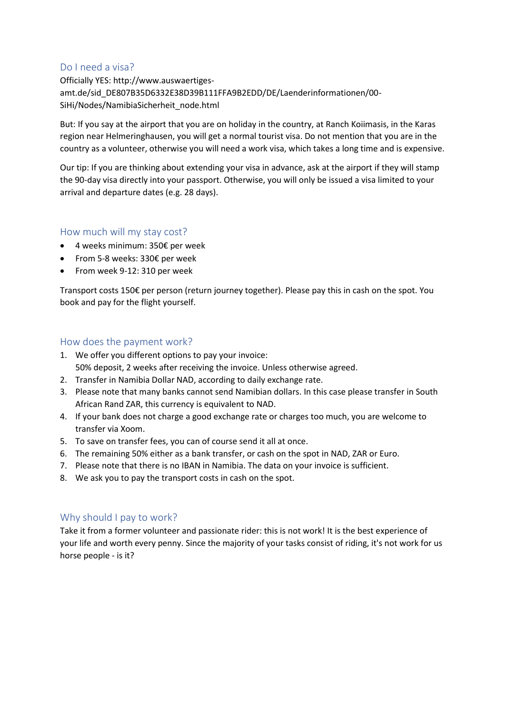#### Do I need a visa?

Officially YES: http://www.auswaertigesamt.de/sid\_DE807B35D6332E38D39B111FFA9B2EDD/DE/Laenderinformationen/00- SiHi/Nodes/NamibiaSicherheit\_node.html

But: If you say at the airport that you are on holiday in the country, at Ranch Koiimasis, in the Karas region near Helmeringhausen, you will get a normal tourist visa. Do not mention that you are in the country as a volunteer, otherwise you will need a work visa, which takes a long time and is expensive.

Our tip: If you are thinking about extending your visa in advance, ask at the airport if they will stamp the 90-day visa directly into your passport. Otherwise, you will only be issued a visa limited to your arrival and departure dates (e.g. 28 days).

#### How much will my stay cost?

- 4 weeks minimum: 350€ per week
- From 5-8 weeks: 330€ per week
- From week 9-12: 310 per week

Transport costs 150€ per person (return journey together). Please pay this in cash on the spot. You book and pay for the flight yourself.

#### How does the payment work?

- 1. We offer you different options to pay your invoice: 50% deposit, 2 weeks after receiving the invoice. Unless otherwise agreed.
- 2. Transfer in Namibia Dollar NAD, according to daily exchange rate.
- 3. Please note that many banks cannot send Namibian dollars. In this case please transfer in South African Rand ZAR, this currency is equivalent to NAD.
- 4. If your bank does not charge a good exchange rate or charges too much, you are welcome to transfer via Xoom.
- 5. To save on transfer fees, you can of course send it all at once.
- 6. The remaining 50% either as a bank transfer, or cash on the spot in NAD, ZAR or Euro.
- 7. Please note that there is no IBAN in Namibia. The data on your invoice is sufficient.
- 8. We ask you to pay the transport costs in cash on the spot.

#### Why should I pay to work?

Take it from a former volunteer and passionate rider: this is not work! It is the best experience of your life and worth every penny. Since the majority of your tasks consist of riding, it's not work for us horse people - is it?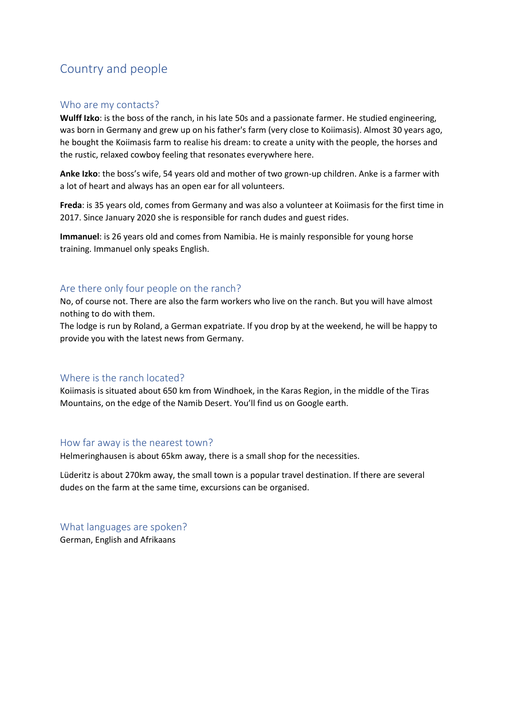# Country and people

#### Who are my contacts?

**Wulff Izko**: is the boss of the ranch, in his late 50s and a passionate farmer. He studied engineering, was born in Germany and grew up on his father's farm (very close to Koiimasis). Almost 30 years ago, he bought the Koiimasis farm to realise his dream: to create a unity with the people, the horses and the rustic, relaxed cowboy feeling that resonates everywhere here.

**Anke Izko**: the boss's wife, 54 years old and mother of two grown-up children. Anke is a farmer with a lot of heart and always has an open ear for all volunteers.

**Freda**: is 35 years old, comes from Germany and was also a volunteer at Koiimasis for the first time in 2017. Since January 2020 she is responsible for ranch dudes and guest rides.

**Immanuel**: is 26 years old and comes from Namibia. He is mainly responsible for young horse training. Immanuel only speaks English.

#### Are there only four people on the ranch?

No, of course not. There are also the farm workers who live on the ranch. But you will have almost nothing to do with them.

The lodge is run by Roland, a German expatriate. If you drop by at the weekend, he will be happy to provide you with the latest news from Germany.

#### Where is the ranch located?

Koiimasis is situated about 650 km from Windhoek, in the Karas Region, in the middle of the Tiras Mountains, on the edge of the Namib Desert. You'll find us on Google earth.

#### How far away is the nearest town?

Helmeringhausen is about 65km away, there is a small shop for the necessities.

Lüderitz is about 270km away, the small town is a popular travel destination. If there are several dudes on the farm at the same time, excursions can be organised.

What languages are spoken? German, English and Afrikaans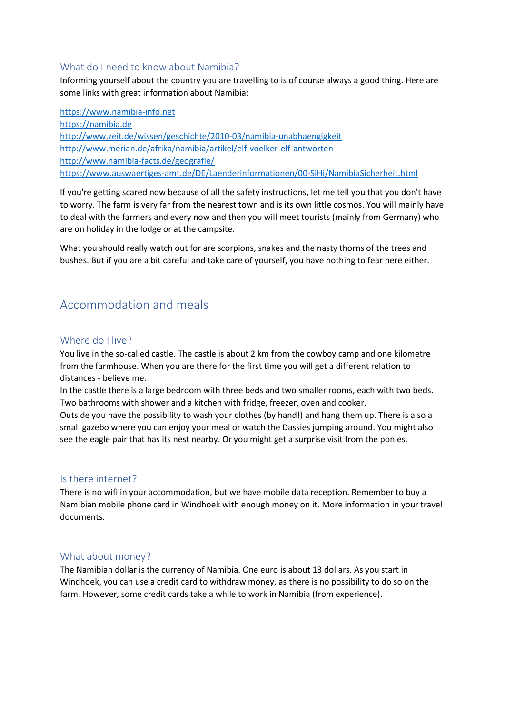#### What do I need to know about Namibia?

Informing yourself about the country you are travelling to is of course always a good thing. Here are some links with great information about Namibia:

[https://www.namibia-info.net](https://www.namibia-info.net/) [https://namibia.de](https://namibia.de/) <http://www.zeit.de/wissen/geschichte/2010-03/namibia-unabhaengigkeit> <http://www.merian.de/afrika/namibia/artikel/elf-voelker-elf-antworten> <http://www.namibia-facts.de/geografie/> <https://www.auswaertiges-amt.de/DE/Laenderinformationen/00-SiHi/NamibiaSicherheit.html>

If you're getting scared now because of all the safety instructions, let me tell you that you don't have to worry. The farm is very far from the nearest town and is its own little cosmos. You will mainly have to deal with the farmers and every now and then you will meet tourists (mainly from Germany) who are on holiday in the lodge or at the campsite.

What you should really watch out for are scorpions, snakes and the nasty thorns of the trees and bushes. But if you are a bit careful and take care of yourself, you have nothing to fear here either.

## Accommodation and meals

#### Where do I live?

You live in the so-called castle. The castle is about 2 km from the cowboy camp and one kilometre from the farmhouse. When you are there for the first time you will get a different relation to distances - believe me.

In the castle there is a large bedroom with three beds and two smaller rooms, each with two beds. Two bathrooms with shower and a kitchen with fridge, freezer, oven and cooker.

Outside you have the possibility to wash your clothes (by hand!) and hang them up. There is also a small gazebo where you can enjoy your meal or watch the Dassies jumping around. You might also see the eagle pair that has its nest nearby. Or you might get a surprise visit from the ponies.

#### Is there internet?

There is no wifi in your accommodation, but we have mobile data reception. Remember to buy a Namibian mobile phone card in Windhoek with enough money on it. More information in your travel documents.

#### What about money?

The Namibian dollar is the currency of Namibia. One euro is about 13 dollars. As you start in Windhoek, you can use a credit card to withdraw money, as there is no possibility to do so on the farm. However, some credit cards take a while to work in Namibia (from experience).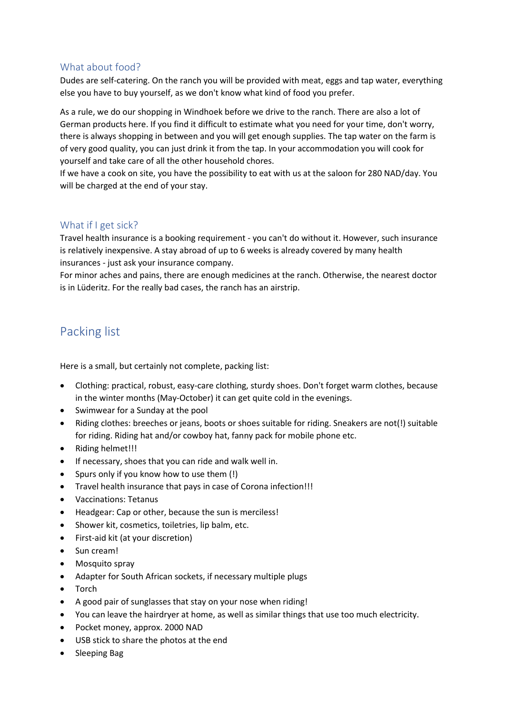#### What about food?

Dudes are self-catering. On the ranch you will be provided with meat, eggs and tap water, everything else you have to buy yourself, as we don't know what kind of food you prefer.

As a rule, we do our shopping in Windhoek before we drive to the ranch. There are also a lot of German products here. If you find it difficult to estimate what you need for your time, don't worry, there is always shopping in between and you will get enough supplies. The tap water on the farm is of very good quality, you can just drink it from the tap. In your accommodation you will cook for yourself and take care of all the other household chores.

If we have a cook on site, you have the possibility to eat with us at the saloon for 280 NAD/day. You will be charged at the end of your stay.

#### What if I get sick?

Travel health insurance is a booking requirement - you can't do without it. However, such insurance is relatively inexpensive. A stay abroad of up to 6 weeks is already covered by many health insurances - just ask your insurance company.

For minor aches and pains, there are enough medicines at the ranch. Otherwise, the nearest doctor is in Lüderitz. For the really bad cases, the ranch has an airstrip.

## Packing list

Here is a small, but certainly not complete, packing list:

- Clothing: practical, robust, easy-care clothing, sturdy shoes. Don't forget warm clothes, because in the winter months (May-October) it can get quite cold in the evenings.
- Swimwear for a Sunday at the pool
- Riding clothes: breeches or jeans, boots or shoes suitable for riding. Sneakers are not(!) suitable for riding. Riding hat and/or cowboy hat, fanny pack for mobile phone etc.
- Riding helmet!!!
- If necessary, shoes that you can ride and walk well in.
- Spurs only if you know how to use them (!)
- Travel health insurance that pays in case of Corona infection!!!
- Vaccinations: Tetanus
- Headgear: Cap or other, because the sun is merciless!
- Shower kit, cosmetics, toiletries, lip balm, etc.
- First-aid kit (at your discretion)
- Sun cream!
- Mosquito spray
- Adapter for South African sockets, if necessary multiple plugs
- Torch
- A good pair of sunglasses that stay on your nose when riding!
- You can leave the hairdryer at home, as well as similar things that use too much electricity.
- Pocket money, approx. 2000 NAD
- USB stick to share the photos at the end
- Sleeping Bag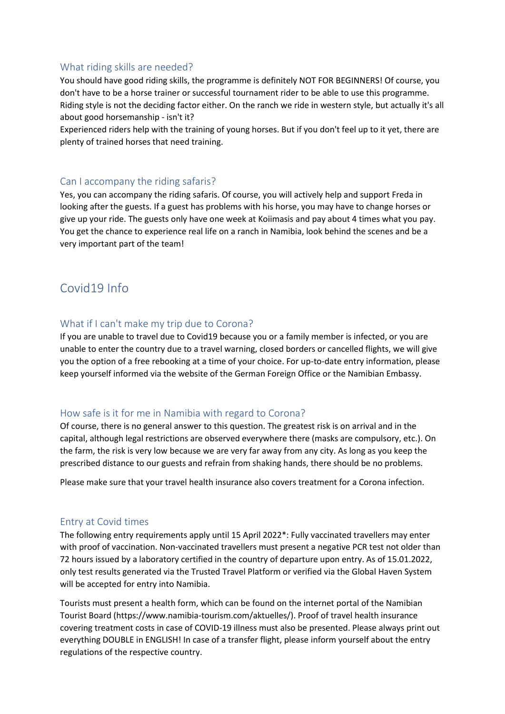#### What riding skills are needed?

You should have good riding skills, the programme is definitely NOT FOR BEGINNERS! Of course, you don't have to be a horse trainer or successful tournament rider to be able to use this programme. Riding style is not the deciding factor either. On the ranch we ride in western style, but actually it's all about good horsemanship - isn't it?

Experienced riders help with the training of young horses. But if you don't feel up to it yet, there are plenty of trained horses that need training.

#### Can I accompany the riding safaris?

Yes, you can accompany the riding safaris. Of course, you will actively help and support Freda in looking after the guests. If a guest has problems with his horse, you may have to change horses or give up your ride. The guests only have one week at Koiimasis and pay about 4 times what you pay. You get the chance to experience real life on a ranch in Namibia, look behind the scenes and be a very important part of the team!

### Covid19 Info

#### What if I can't make my trip due to Corona?

If you are unable to travel due to Covid19 because you or a family member is infected, or you are unable to enter the country due to a travel warning, closed borders or cancelled flights, we will give you the option of a free rebooking at a time of your choice. For up-to-date entry information, please keep yourself informed via the website of the German Foreign Office or the Namibian Embassy.

#### How safe is it for me in Namibia with regard to Corona?

Of course, there is no general answer to this question. The greatest risk is on arrival and in the capital, although legal restrictions are observed everywhere there (masks are compulsory, etc.). On the farm, the risk is very low because we are very far away from any city. As long as you keep the prescribed distance to our guests and refrain from shaking hands, there should be no problems.

Please make sure that your travel health insurance also covers treatment for a Corona infection.

#### Entry at Covid times

The following entry requirements apply until 15 April 2022\*: Fully vaccinated travellers may enter with proof of vaccination. Non-vaccinated travellers must present a negative PCR test not older than 72 hours issued by a laboratory certified in the country of departure upon entry. As of 15.01.2022, only test results generated via the Trusted Travel Platform or verified via the Global Haven System will be accepted for entry into Namibia.

Tourists must present a health form, which can be found on the internet portal of the Namibian Tourist Board (https://www.namibia-tourism.com/aktuelles/). Proof of travel health insurance covering treatment costs in case of COVID-19 illness must also be presented. Please always print out everything DOUBLE in ENGLISH! In case of a transfer flight, please inform yourself about the entry regulations of the respective country.